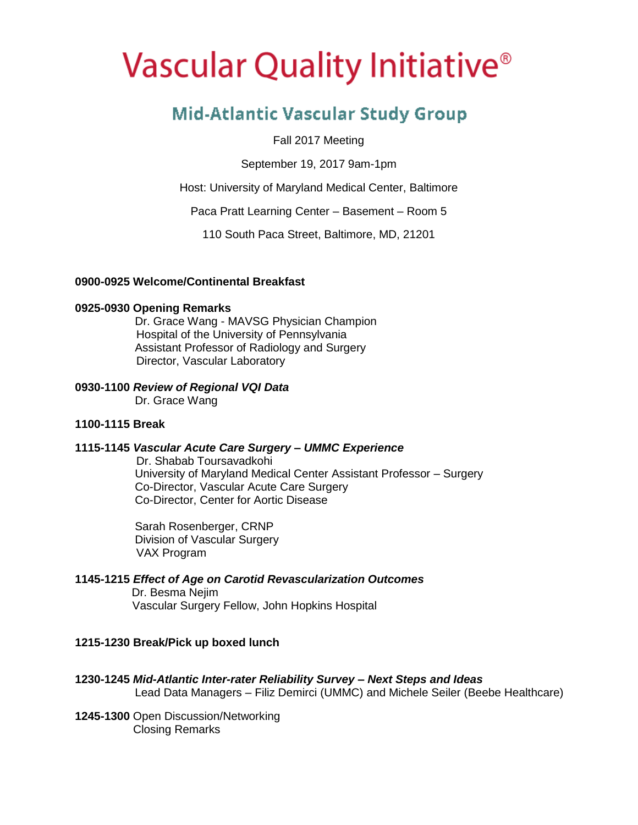# Vascular Quality Initiative<sup>®</sup>

## **Mid-Atlantic Vascular Study Group**

Fall 2017 Meeting

September 19, 2017 9am-1pm

Host: University of Maryland Medical Center, Baltimore

Paca Pratt Learning Center – Basement – Room 5

110 South Paca Street, Baltimore, MD, 21201

#### **0900-0925 Welcome/Continental Breakfast**

#### **0925-0930 Opening Remarks**

 Dr. Grace Wang - MAVSG Physician Champion Hospital of the University of Pennsylvania Assistant Professor of Radiology and Surgery Director, Vascular Laboratory

#### **0930-1100** *Review of Regional VQI Data*

Dr. Grace Wang

#### **1100-1115 Break**

#### **1115-1145** *Vascular Acute Care Surgery – UMMC Experience*

 Dr. Shabab Toursavadkohi University of Maryland Medical Center Assistant Professor – Surgery Co-Director, Vascular Acute Care Surgery Co-Director, Center for Aortic Disease

 Sarah Rosenberger, CRNP Division of Vascular Surgery VAX Program

### **1145-1215** *Effect of Age on Carotid Revascularization Outcomes*

 Dr. Besma Nejim Vascular Surgery Fellow, John Hopkins Hospital

#### **1215-1230 Break/Pick up boxed lunch**

- **1230-1245** *Mid-Atlantic Inter-rater Reliability Survey – Next Steps and Ideas* Lead Data Managers – Filiz Demirci (UMMC) and Michele Seiler (Beebe Healthcare)
- **1245-1300** Open Discussion/Networking Closing Remarks